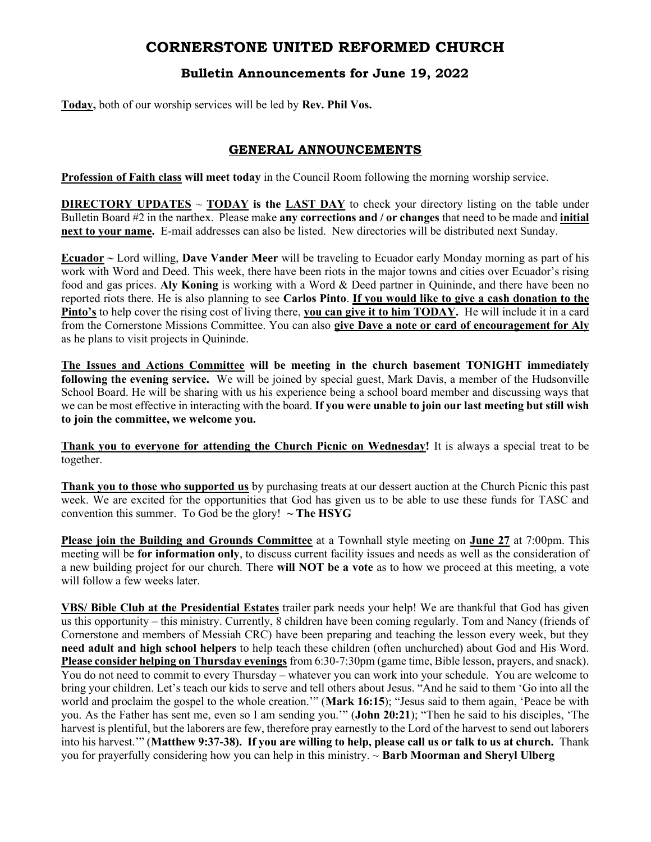# CORNERSTONE UNITED REFORMED CHURCH

## Bulletin Announcements for June 19, 2022

Today, both of our worship services will be led by Rev. Phil Vos.

## GENERAL ANNOUNCEMENTS

Profession of Faith class will meet today in the Council Room following the morning worship service.

**DIRECTORY UPDATES**  $\sim$  **TODAY is the LAST DAY** to check your directory listing on the table under Bulletin Board #2 in the narthex. Please make any corrections and / or changes that need to be made and initial next to your name. E-mail addresses can also be listed. New directories will be distributed next Sunday.

Ecuador  $\sim$  Lord willing, Dave Vander Meer will be traveling to Ecuador early Monday morning as part of his work with Word and Deed. This week, there have been riots in the major towns and cities over Ecuador's rising food and gas prices. Aly Koning is working with a Word & Deed partner in Quininde, and there have been no reported riots there. He is also planning to see Carlos Pinto. If you would like to give a cash donation to the Pinto's to help cover the rising cost of living there, you can give it to him TODAY. He will include it in a card from the Cornerstone Missions Committee. You can also give Dave a note or card of encouragement for Aly as he plans to visit projects in Quininde.

The Issues and Actions Committee will be meeting in the church basement TONIGHT immediately following the evening service. We will be joined by special guest, Mark Davis, a member of the Hudsonville School Board. He will be sharing with us his experience being a school board member and discussing ways that we can be most effective in interacting with the board. If you were unable to join our last meeting but still wish to join the committee, we welcome you.

Thank you to everyone for attending the Church Picnic on Wednesday! It is always a special treat to be together.

Thank you to those who supported us by purchasing treats at our dessert auction at the Church Picnic this past week. We are excited for the opportunities that God has given us to be able to use these funds for TASC and convention this summer. To God be the glory!  $\sim$  The HSYG

Please join the Building and Grounds Committee at a Townhall style meeting on June 27 at 7:00pm. This meeting will be **for information only**, to discuss current facility issues and needs as well as the consideration of a new building project for our church. There will NOT be a vote as to how we proceed at this meeting, a vote will follow a few weeks later.

VBS/ Bible Club at the Presidential Estates trailer park needs your help! We are thankful that God has given us this opportunity – this ministry. Currently, 8 children have been coming regularly. Tom and Nancy (friends of Cornerstone and members of Messiah CRC) have been preparing and teaching the lesson every week, but they need adult and high school helpers to help teach these children (often unchurched) about God and His Word. Please consider helping on Thursday evenings from 6:30-7:30pm (game time, Bible lesson, prayers, and snack). You do not need to commit to every Thursday – whatever you can work into your schedule. You are welcome to bring your children. Let's teach our kids to serve and tell others about Jesus. "And he said to them 'Go into all the world and proclaim the gospel to the whole creation."" (Mark 16:15); "Jesus said to them again, 'Peace be with you. As the Father has sent me, even so I am sending you.'" (John 20:21); "Then he said to his disciples, 'The harvest is plentiful, but the laborers are few, therefore pray earnestly to the Lord of the harvest to send out laborers into his harvest.'" (Matthew 9:37-38). If you are willing to help, please call us or talk to us at church. Thank you for prayerfully considering how you can help in this ministry.  $\sim$  Barb Moorman and Sheryl Ulberg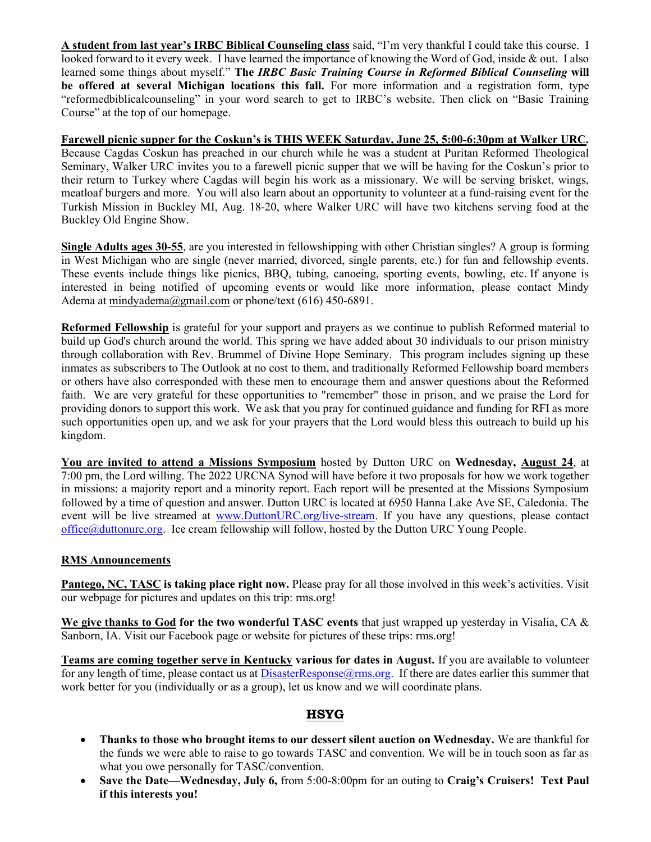A student from last year's IRBC Biblical Counseling class said, "I'm very thankful I could take this course. I looked forward to it every week. I have learned the importance of knowing the Word of God, inside & out. I also learned some things about myself." The IRBC Basic Training Course in Reformed Biblical Counseling will be offered at several Michigan locations this fall. For more information and a registration form, type "reformedbiblicalcounseling" in your word search to get to IRBC's website. Then click on "Basic Training Course" at the top of our homepage.

Farewell picnic supper for the Coskun's is THIS WEEK Saturday, June 25, 5:00-6:30pm at Walker URC. Because Cagdas Coskun has preached in our church while he was a student at Puritan Reformed Theological Seminary, Walker URC invites you to a farewell picnic supper that we will be having for the Coskun's prior to their return to Turkey where Cagdas will begin his work as a missionary. We will be serving brisket, wings, meatloaf burgers and more. You will also learn about an opportunity to volunteer at a fund-raising event for the Turkish Mission in Buckley MI, Aug. 18-20, where Walker URC will have two kitchens serving food at the Buckley Old Engine Show.

Single Adults ages 30-55, are you interested in fellowshipping with other Christian singles? A group is forming in West Michigan who are single (never married, divorced, single parents, etc.) for fun and fellowship events. These events include things like picnics, BBQ, tubing, canoeing, sporting events, bowling, etc. If anyone is interested in being notified of upcoming events or would like more information, please contact Mindy Adema at mindyadema@gmail.com or phone/text (616) 450-6891.

Reformed Fellowship is grateful for your support and prayers as we continue to publish Reformed material to build up God's church around the world. This spring we have added about 30 individuals to our prison ministry through collaboration with Rev. Brummel of Divine Hope Seminary. This program includes signing up these inmates as subscribers to The Outlook at no cost to them, and traditionally Reformed Fellowship board members or others have also corresponded with these men to encourage them and answer questions about the Reformed faith. We are very grateful for these opportunities to "remember" those in prison, and we praise the Lord for providing donors to support this work. We ask that you pray for continued guidance and funding for RFI as more such opportunities open up, and we ask for your prayers that the Lord would bless this outreach to build up his kingdom.

You are invited to attend a Missions Symposium hosted by Dutton URC on Wednesday, August 24, at 7:00 pm, the Lord willing. The 2022 URCNA Synod will have before it two proposals for how we work together in missions: a majority report and a minority report. Each report will be presented at the Missions Symposium followed by a time of question and answer. Dutton URC is located at 6950 Hanna Lake Ave SE, Caledonia. The event will be live streamed at www.DuttonURC.org/live-stream. If you have any questions, please contact office@duttonurc.org. Ice cream fellowship will follow, hosted by the Dutton URC Young People.

#### RMS Announcements

Pantego, NC, TASC is taking place right now. Please pray for all those involved in this week's activities. Visit our webpage for pictures and updates on this trip: rms.org!

We give thanks to God for the two wonderful TASC events that just wrapped up yesterday in Visalia, CA & Sanborn, IA. Visit our Facebook page or website for pictures of these trips: rms.org!

Teams are coming together serve in Kentucky various for dates in August. If you are available to volunteer for any length of time, please contact us at DisasterResponse@rms.org. If there are dates earlier this summer that work better for you (individually or as a group), let us know and we will coordinate plans.

## HSYG

- Thanks to those who brought items to our dessert silent auction on Wednesday. We are thankful for the funds we were able to raise to go towards TASC and convention. We will be in touch soon as far as what you owe personally for TASC/convention.
- Save the Date—Wednesday, July 6, from 5:00-8:00pm for an outing to Craig's Cruisers! Text Paul if this interests you!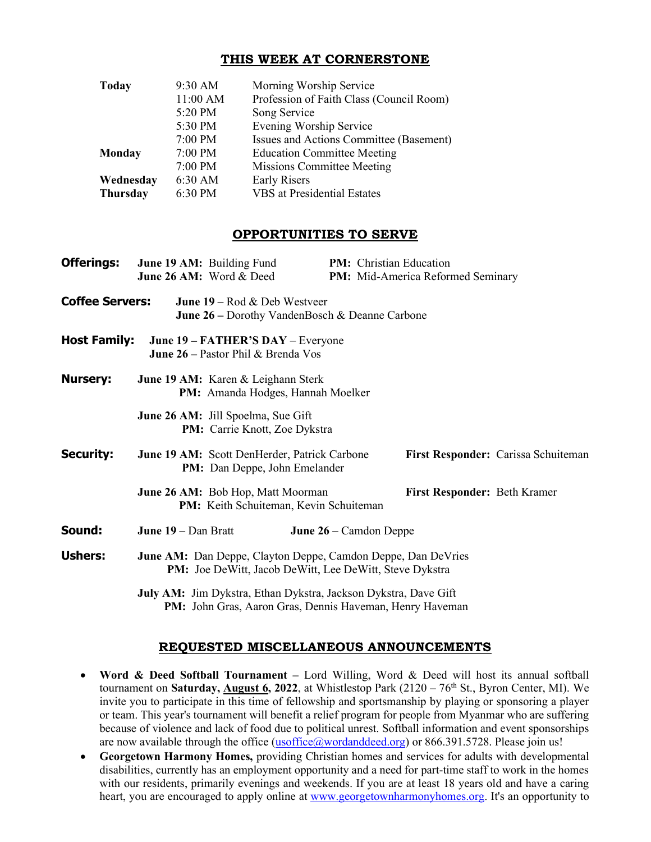### THIS WEEK AT CORNERSTONE

| <b>Today</b>    | 9:30 AM  | Morning Worship Service                  |  |
|-----------------|----------|------------------------------------------|--|
|                 | 11:00 AM | Profession of Faith Class (Council Room) |  |
|                 | 5:20 PM  | Song Service                             |  |
|                 | 5:30 PM  | Evening Worship Service                  |  |
|                 | 7:00 PM  | Issues and Actions Committee (Basement)  |  |
| <b>Monday</b>   | 7:00 PM  | <b>Education Committee Meeting</b>       |  |
|                 | 7:00 PM  | <b>Missions Committee Meeting</b>        |  |
| Wednesday       | 6:30 AM  | <b>Early Risers</b>                      |  |
| <b>Thursday</b> | 6:30 PM  | <b>VBS</b> at Presidential Estates       |  |

### OPPORTUNITIES TO SERVE

| <b>Offerings:</b>      | June 19 AM: Building Fund<br>June 26 AM: Word & Deed                                                                           | PM: Christian Education<br>PM: Mid-America Reformed Seminary |  |  |
|------------------------|--------------------------------------------------------------------------------------------------------------------------------|--------------------------------------------------------------|--|--|
| <b>Coffee Servers:</b> | <b>June 19</b> – Rod $\&$ Deb Westveer<br><b>June 26 – Dorothy VandenBosch &amp; Deanne Carbone</b>                            |                                                              |  |  |
| <b>Host Family:</b>    | June 19 – FATHER'S DAY – Everyone<br><b>June 26 – Pastor Phil &amp; Brenda Vos</b>                                             |                                                              |  |  |
| <b>Nursery:</b>        | June 19 AM: Karen & Leighann Sterk<br>PM: Amanda Hodges, Hannah Moelker                                                        |                                                              |  |  |
|                        | <b>June 26 AM:</b> Jill Spoelma, Sue Gift<br>PM: Carrie Knott, Zoe Dykstra                                                     |                                                              |  |  |
| <b>Security:</b>       | June 19 AM: Scott DenHerder, Patrick Carbone<br><b>PM:</b> Dan Deppe, John Emelander                                           | First Responder: Carissa Schuiteman                          |  |  |
|                        | June 26 AM: Bob Hop, Matt Moorman<br>PM: Keith Schuiteman, Kevin Schuiteman                                                    | First Responder: Beth Kramer                                 |  |  |
| Sound:                 | June 19 - Dan Bratt                                                                                                            | June 26 – Camdon Deppe                                       |  |  |
| <b>Ushers:</b>         | June AM: Dan Deppe, Clayton Deppe, Camdon Deppe, Dan DeVries<br><b>PM:</b> Joe DeWitt, Jacob DeWitt, Lee DeWitt, Steve Dykstra |                                                              |  |  |
|                        | July AM: Jim Dykstra, Ethan Dykstra, Jackson Dykstra, Dave Gift                                                                |                                                              |  |  |

PM: John Gras, Aaron Gras, Dennis Haveman, Henry Haveman

### REQUESTED MISCELLANEOUS ANNOUNCEMENTS

- Word & Deed Softball Tournament Lord Willing, Word & Deed will host its annual softball tournament on Saturday, **August 6, 2022**, at Whistlestop Park  $(2120 - 76<sup>th</sup>$  St., Byron Center, MI). We invite you to participate in this time of fellowship and sportsmanship by playing or sponsoring a player or team. This year's tournament will benefit a relief program for people from Myanmar who are suffering because of violence and lack of food due to political unrest. Softball information and event sponsorships are now available through the office (usoffice@wordanddeed.org) or 866.391.5728. Please join us!
- Georgetown Harmony Homes, providing Christian homes and services for adults with developmental disabilities, currently has an employment opportunity and a need for part-time staff to work in the homes with our residents, primarily evenings and weekends. If you are at least 18 years old and have a caring heart, you are encouraged to apply online at www.georgetownharmonyhomes.org. It's an opportunity to